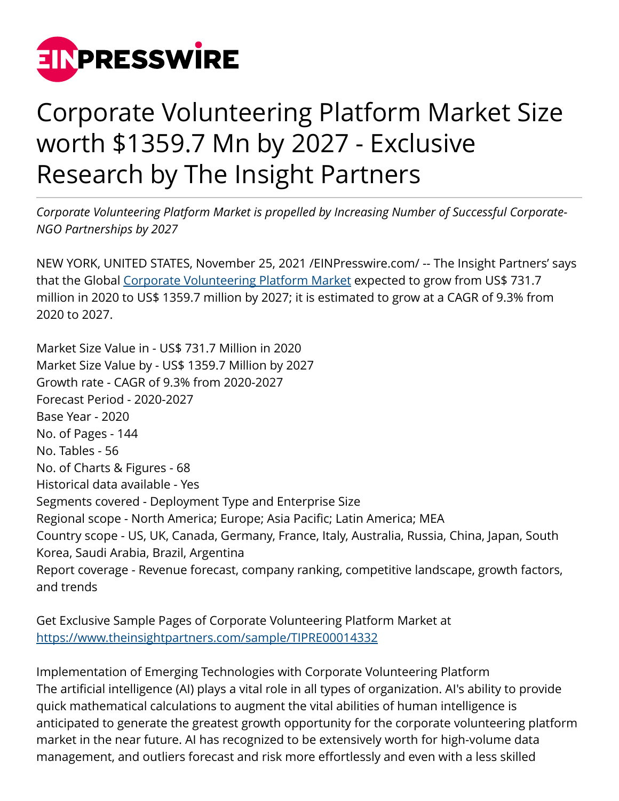

## Corporate Volunteering Platform Market Size worth \$1359.7 Mn by 2027 - Exclusive Research by The Insight Partners

*Corporate Volunteering Platform Market is propelled by Increasing Number of Successful Corporate-NGO Partnerships by 2027*

NEW YORK, UNITED STATES, November 25, 2021 /[EINPresswire.com/](http://www.einpresswire.com) -- The Insight Partners' says that the Global [Corporate Volunteering Platform Market](https://www.theinsightpartners.com/reports/corporate-volunteering-platform-market/) expected to grow from US\$ 731.7 million in 2020 to US\$ 1359.7 million by 2027; it is estimated to grow at a CAGR of 9.3% from 2020 to 2027.

Market Size Value in - US\$ 731.7 Million in 2020 Market Size Value by - US\$ 1359.7 Million by 2027 Growth rate - CAGR of 9.3% from 2020-2027 Forecast Period - 2020-2027 Base Year - 2020 No. of Pages - 144 No. Tables - 56 No. of Charts & Figures - 68 Historical data available - Yes Segments covered - Deployment Type and Enterprise Size Regional scope - North America; Europe; Asia Pacific; Latin America; MEA Country scope - US, UK, Canada, Germany, France, Italy, Australia, Russia, China, Japan, South Korea, Saudi Arabia, Brazil, Argentina Report coverage - Revenue forecast, company ranking, competitive landscape, growth factors, and trends

Get Exclusive Sample Pages of Corporate Volunteering Platform Market at [https://www.theinsightpartners.com/sample/TIPRE00014332](https://www.theinsightpartners.com/sample/TIPRE00014332?utm_source=EINPressWire&utm_medium=10051)

Implementation of Emerging Technologies with Corporate Volunteering Platform The artificial intelligence (AI) plays a vital role in all types of organization. AI's ability to provide quick mathematical calculations to augment the vital abilities of human intelligence is anticipated to generate the greatest growth opportunity for the corporate volunteering platform market in the near future. AI has recognized to be extensively worth for high-volume data management, and outliers forecast and risk more effortlessly and even with a less skilled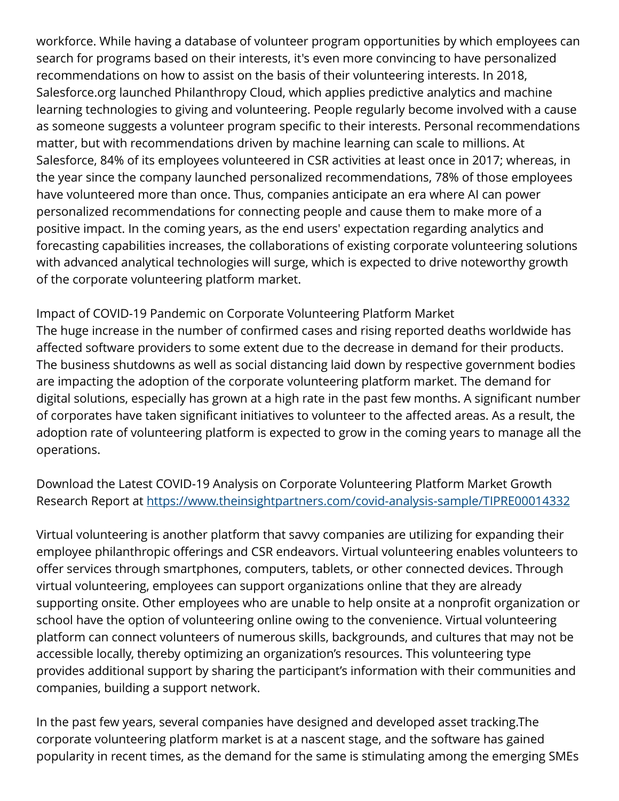workforce. While having a database of volunteer program opportunities by which employees can search for programs based on their interests, it's even more convincing to have personalized recommendations on how to assist on the basis of their volunteering interests. In 2018, Salesforce.org launched Philanthropy Cloud, which applies predictive analytics and machine learning technologies to giving and volunteering. People regularly become involved with a cause as someone suggests a volunteer program specific to their interests. Personal recommendations matter, but with recommendations driven by machine learning can scale to millions. At Salesforce, 84% of its employees volunteered in CSR activities at least once in 2017; whereas, in the year since the company launched personalized recommendations, 78% of those employees have volunteered more than once. Thus, companies anticipate an era where AI can power personalized recommendations for connecting people and cause them to make more of a positive impact. In the coming years, as the end users' expectation regarding analytics and forecasting capabilities increases, the collaborations of existing corporate volunteering solutions with advanced analytical technologies will surge, which is expected to drive noteworthy growth of the corporate volunteering platform market.

Impact of COVID-19 Pandemic on Corporate Volunteering Platform Market The huge increase in the number of confirmed cases and rising reported deaths worldwide has affected software providers to some extent due to the decrease in demand for their products. The business shutdowns as well as social distancing laid down by respective government bodies are impacting the adoption of the corporate volunteering platform market. The demand for digital solutions, especially has grown at a high rate in the past few months. A significant number of corporates have taken significant initiatives to volunteer to the affected areas. As a result, the adoption rate of volunteering platform is expected to grow in the coming years to manage all the operations.

Download the Latest COVID-19 Analysis on Corporate Volunteering Platform Market Growth Research Report at<https://www.theinsightpartners.com/covid-analysis-sample/TIPRE00014332>

Virtual volunteering is another platform that savvy companies are utilizing for expanding their employee philanthropic offerings and CSR endeavors. Virtual volunteering enables volunteers to offer services through smartphones, computers, tablets, or other connected devices. Through virtual volunteering, employees can support organizations online that they are already supporting onsite. Other employees who are unable to help onsite at a nonprofit organization or school have the option of volunteering online owing to the convenience. Virtual volunteering platform can connect volunteers of numerous skills, backgrounds, and cultures that may not be accessible locally, thereby optimizing an organization's resources. This volunteering type provides additional support by sharing the participant's information with their communities and companies, building a support network.

In the past few years, several companies have designed and developed asset tracking.The corporate volunteering platform market is at a nascent stage, and the software has gained popularity in recent times, as the demand for the same is stimulating among the emerging SMEs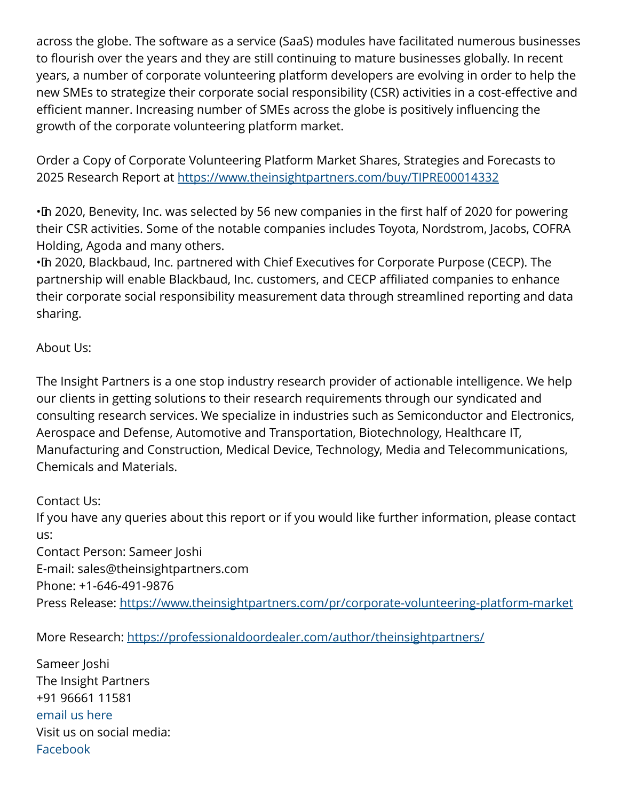across the globe. The software as a service (SaaS) modules have facilitated numerous businesses to flourish over the years and they are still continuing to mature businesses globally. In recent years, a number of corporate volunteering platform developers are evolving in order to help the new SMEs to strategize their corporate social responsibility (CSR) activities in a cost-effective and efficient manner. Increasing number of SMEs across the globe is positively influencing the growth of the corporate volunteering platform market.

Order a Copy of Corporate Volunteering Platform Market Shares, Strategies and Forecasts to 2025 Research Report at [https://www.theinsightpartners.com/buy/TIPRE00014332](https://www.theinsightpartners.com/buy/TIPRE00014332?utm_source=EINPressWire&utm_medium=10051)

• In 2020, Benevity, Inc. was selected by 56 new companies in the first half of 2020 for powering their CSR activities. Some of the notable companies includes Toyota, Nordstrom, Jacobs, COFRA Holding, Agoda and many others.

• In 2020, Blackbaud, Inc. partnered with Chief Executives for Corporate Purpose (CECP). The partnership will enable Blackbaud, Inc. customers, and CECP affiliated companies to enhance their corporate social responsibility measurement data through streamlined reporting and data sharing.

## About Us:

The Insight Partners is a one stop industry research provider of actionable intelligence. We help our clients in getting solutions to their research requirements through our syndicated and consulting research services. We specialize in industries such as Semiconductor and Electronics, Aerospace and Defense, Automotive and Transportation, Biotechnology, Healthcare IT, Manufacturing and Construction, Medical Device, Technology, Media and Telecommunications, Chemicals and Materials.

Contact Us:

If you have any queries about this report or if you would like further information, please contact us: Contact Person: Sameer Joshi E-mail: sales@theinsightpartners.com Phone: +1-646-491-9876 Press Release:<https://www.theinsightpartners.com/pr/corporate-volunteering-platform-market>

More Research: <https://professionaldoordealer.com/author/theinsightpartners/>

Sameer Joshi The Insight Partners +91 96661 11581 [email us here](http://www.einpresswire.com/contact_author/3204444) Visit us on social media: [Facebook](https://www.facebook.com/theinsightpartners/)